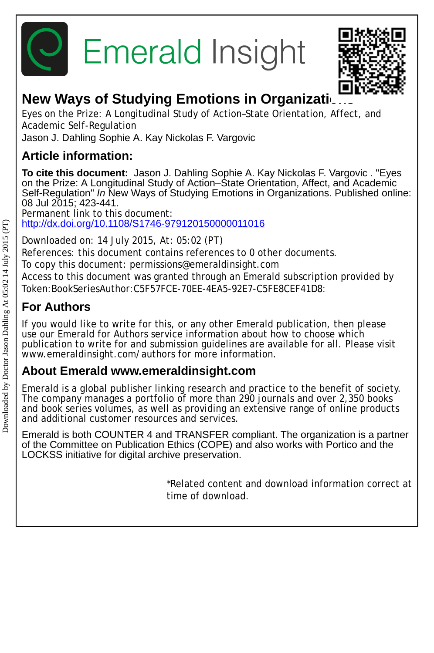



# **New Ways of Studying Emotions in Organizations**

Eyes on the Prize: A Longitudinal Study of Action–State Orientation, Affect, and Academic Self-Regulation

Jason J. Dahling Sophie A. Kay Nickolas F. Vargovic

# **Article information:**

**To cite this document:** Jason J. Dahling Sophie A. Kay Nickolas F. Vargovic . "Eyes on the Prize: A Longitudinal Study of Action–State Orientation, Affect, and Academic Self-Regulation" *In* New Ways of Studying Emotions in Organizations. Published online: 08 Jul 2015; 423-441.

Permanent link to this document: <http://dx.doi.org/10.1108/S1746-979120150000011016>

Downloaded on: 14 July 2015, At: 05:02 (PT) References: this document contains references to 0 other documents. To copy this document: permissions@emeraldinsight.com Access to this document was granted through an Emerald subscription provided by Token:BookSeriesAuthor:C5F57FCE-70EE-4EA5-92E7-C5FE8CEF41D8:

# **For Authors**

If you would like to write for this, or any other Emerald publication, then please use our Emerald for Authors service information about how to choose which publication to write for and submission guidelines are available for all. Please visit www.emeraldinsight.com/authors for more information.

# **About Emerald www.emeraldinsight.com**

Emerald is a global publisher linking research and practice to the benefit of society. The company manages a portfolio of more than 290 journals and over 2,350 books and book series volumes, as well as providing an extensive range of online products and additional customer resources and services.

Emerald is both COUNTER 4 and TRANSFER compliant. The organization is a partner of the Committee on Publication Ethics (COPE) and also works with Portico and the LOCKSS initiative for digital archive preservation.

> \*Related content and download information correct at time of download.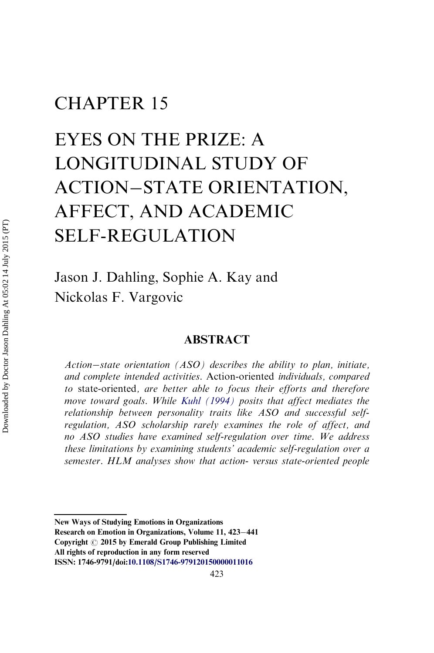# CHAPTER 15

# EYES ON THE PRIZE: A LONGITUDINAL STUDY OF ACTION-STATE ORIENTATION, AFFECT, AND ACADEMIC SELF-REGULATION

Jason J. Dahling, Sophie A. Kay and Nickolas F. Vargovic

# ABSTRACT

Action-state orientation (ASO) describes the ability to plan, initiate, and complete intended activities. Action-oriented individuals, compared to state-oriented, are better able to focus their efforts and therefore move toward goals. While [Kuhl \(1994\)](#page-19-0) posits that affect mediates the relationship between personality traits like ASO and successful selfregulation, ASO scholarship rarely examines the role of affect, and no ASO studies have examined self-regulation over time. We address these limitations by examining students' academic self-regulation over a semester. HLM analyses show that action- versus state-oriented people

New Ways of Studying Emotions in Organizations

Research on Emotion in Organizations, Volume 11, 423-441 Copyright  $\odot$  2015 by Emerald Group Publishing Limited All rights of reproduction in any form reserved

ISSN: 1746-9791/doi:[10.1108/S1746-979120150000011016](http://dx.doi.org/10.1108/S1746-979120150000011016)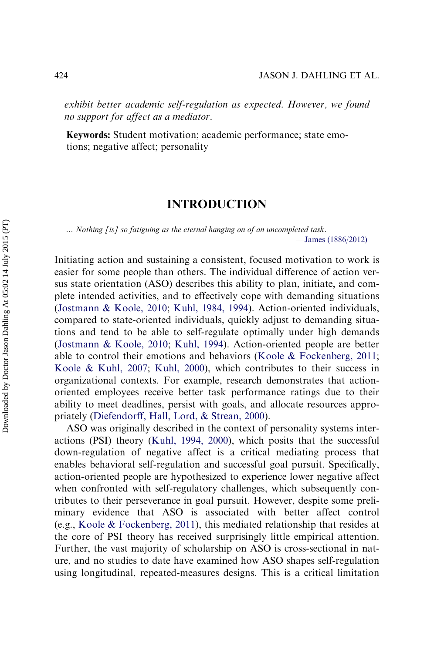exhibit better academic self-regulation as expected. However, we found no support for affect as a mediator.

Keywords: Student motivation; academic performance; state emotions; negative affect; personality

## INTRODUCTION

… Nothing [is] so fatiguing as the eternal hanging on of an uncompleted task. [—James \(1886/2012\)](#page-18-0)

Initiating action and sustaining a consistent, focused motivation to work is easier for some people than others. The individual difference of action versus state orientation (ASO) describes this ability to plan, initiate, and complete intended activities, and to effectively cope with demanding situations [\(Jostmann & Koole, 2010;](#page-18-0) Kuhl, 1984, 1994). Action-oriented individuals, compared to state-oriented individuals, quickly adjust to demanding situations and tend to be able to self-regulate optimally under high demands [\(Jostmann & Koole, 2010;](#page-18-0) [Kuhl, 1994\)](#page-19-0). Action-oriented people are better able to control their emotions and behaviors ([Koole & Fockenberg, 2011](#page-18-0); [Koole & Kuhl, 2007](#page-18-0); [Kuhl, 2000](#page-19-0)), which contributes to their success in organizational contexts. For example, research demonstrates that actionoriented employees receive better task performance ratings due to their ability to meet deadlines, persist with goals, and allocate resources appropriately ([Diefendorff, Hall, Lord, & Strean, 2000\)](#page-18-0).

ASO was originally described in the context of personality systems interactions (PSI) theory (Kuhl, 1994, 2000), which posits that the successful down-regulation of negative affect is a critical mediating process that enables behavioral self-regulation and successful goal pursuit. Specifically, action-oriented people are hypothesized to experience lower negative affect when confronted with self-regulatory challenges, which subsequently contributes to their perseverance in goal pursuit. However, despite some preliminary evidence that ASO is associated with better affect control (e.g., [Koole & Fockenberg, 2011](#page-18-0)), this mediated relationship that resides at the core of PSI theory has received surprisingly little empirical attention. Further, the vast majority of scholarship on ASO is cross-sectional in nature, and no studies to date have examined how ASO shapes self-regulation using longitudinal, repeated-measures designs. This is a critical limitation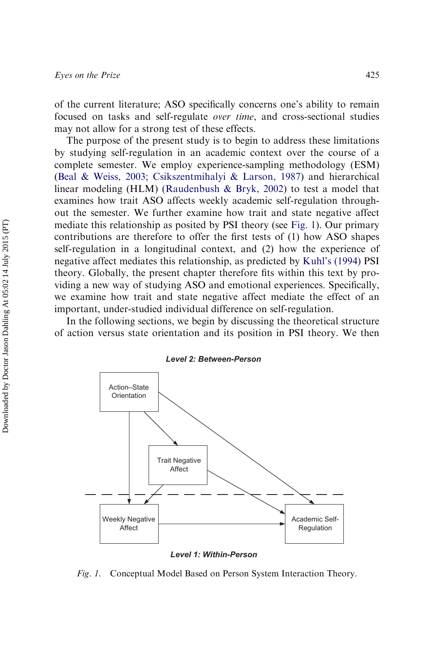<span id="page-3-0"></span>of the current literature; ASO specifically concerns one's ability to remain focused on tasks and self-regulate over time, and cross-sectional studies may not allow for a strong test of these effects.

The purpose of the present study is to begin to address these limitations by studying self-regulation in an academic context over the course of a complete semester. We employ experience-sampling methodology (ESM) [\(Beal & Weiss, 2003;](#page-18-0) [Csikszentmihalyi & Larson, 1987\)](#page-18-0) and hierarchical linear modeling (HLM) [\(Raudenbush & Bryk, 2002\)](#page-19-0) to test a model that examines how trait ASO affects weekly academic self-regulation throughout the semester. We further examine how trait and state negative affect mediate this relationship as posited by PSI theory (see Fig. 1). Our primary contributions are therefore to offer the first tests of (1) how ASO shapes self-regulation in a longitudinal context, and (2) how the experience of negative affect mediates this relationship, as predicted by [Kuhl's \(1994\)](#page-19-0) PSI theory. Globally, the present chapter therefore fits within this text by providing a new way of studying ASO and emotional experiences. Specifically, we examine how trait and state negative affect mediate the effect of an important, under-studied individual difference on self-regulation.

In the following sections, we begin by discussing the theoretical structure of action versus state orientation and its position in PSI theory. We then





Fig. 1. Conceptual Model Based on Person System Interaction Theory.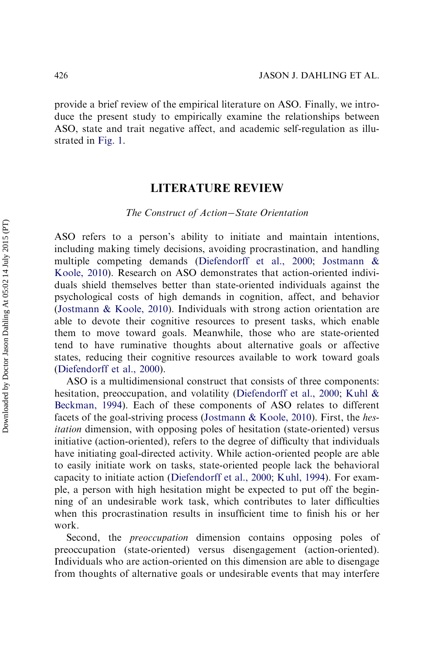provide a brief review of the empirical literature on ASO. Finally, we introduce the present study to empirically examine the relationships between ASO, state and trait negative affect, and academic self-regulation as illustrated in [Fig. 1.](#page-3-0)

### LITERATURE REVIEW

#### The Construct of Action–State Orientation

ASO refers to a person's ability to initiate and maintain intentions, including making timely decisions, avoiding procrastination, and handling multiple competing demands [\(Diefendorff et al., 2000](#page-18-0); [Jostmann &](#page-18-0) [Koole, 2010\)](#page-18-0). Research on ASO demonstrates that action-oriented individuals shield themselves better than state-oriented individuals against the psychological costs of high demands in cognition, affect, and behavior [\(Jostmann & Koole, 2010\)](#page-18-0). Individuals with strong action orientation are able to devote their cognitive resources to present tasks, which enable them to move toward goals. Meanwhile, those who are state-oriented tend to have ruminative thoughts about alternative goals or affective states, reducing their cognitive resources available to work toward goals [\(Diefendorff et al., 2000\)](#page-18-0).

ASO is a multidimensional construct that consists of three components: hesitation, preoccupation, and volatility ([Diefendorff et al., 2000;](#page-18-0) [Kuhl &](#page-19-0) [Beckman, 1994](#page-19-0)). Each of these components of ASO relates to different facets of the goal-striving process ([Jostmann & Koole, 2010](#page-18-0)). First, the hesitation dimension, with opposing poles of hesitation (state-oriented) versus initiative (action-oriented), refers to the degree of difficulty that individuals have initiating goal-directed activity. While action-oriented people are able to easily initiate work on tasks, state-oriented people lack the behavioral capacity to initiate action ([Diefendorff et al., 2000](#page-18-0); [Kuhl, 1994\)](#page-19-0). For example, a person with high hesitation might be expected to put off the beginning of an undesirable work task, which contributes to later difficulties when this procrastination results in insufficient time to finish his or her work.

Second, the *preoccupation* dimension contains opposing poles of preoccupation (state-oriented) versus disengagement (action-oriented). Individuals who are action-oriented on this dimension are able to disengage from thoughts of alternative goals or undesirable events that may interfere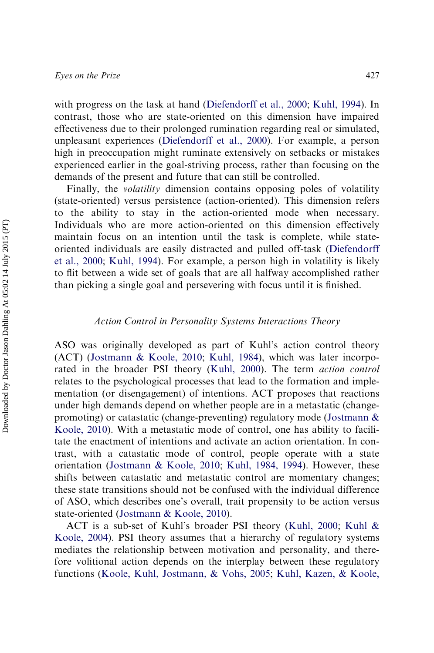with progress on the task at hand ([Diefendorff et al., 2000;](#page-18-0) [Kuhl, 1994](#page-19-0)). In contrast, those who are state-oriented on this dimension have impaired effectiveness due to their prolonged rumination regarding real or simulated, unpleasant experiences ([Diefendorff et al., 2000](#page-18-0)). For example, a person high in preoccupation might ruminate extensively on setbacks or mistakes experienced earlier in the goal-striving process, rather than focusing on the demands of the present and future that can still be controlled.

Finally, the *volatility* dimension contains opposing poles of volatility (state-oriented) versus persistence (action-oriented). This dimension refers to the ability to stay in the action-oriented mode when necessary. Individuals who are more action-oriented on this dimension effectively maintain focus on an intention until the task is complete, while stateoriented individuals are easily distracted and pulled off-task ([Diefendorff](#page-18-0) [et al., 2000;](#page-18-0) [Kuhl, 1994\)](#page-19-0). For example, a person high in volatility is likely to flit between a wide set of goals that are all halfway accomplished rather than picking a single goal and persevering with focus until it is finished.

#### Action Control in Personality Systems Interactions Theory

ASO was originally developed as part of Kuhl's action control theory (ACT) ([Jostmann & Koole, 2010;](#page-18-0) [Kuhl, 1984\)](#page-18-0), which was later incorporated in the broader PSI theory ([Kuhl, 2000\)](#page-19-0). The term action control relates to the psychological processes that lead to the formation and implementation (or disengagement) of intentions. ACT proposes that reactions under high demands depend on whether people are in a metastatic (changepromoting) or catastatic (change-preventing) regulatory mode ([Jostmann &](#page-18-0) [Koole, 2010\)](#page-18-0). With a metastatic mode of control, one has ability to facilitate the enactment of intentions and activate an action orientation. In contrast, with a catastatic mode of control, people operate with a state orientation ([Jostmann & Koole, 2010](#page-18-0); Kuhl, 1984, 1994). However, these shifts between catastatic and metastatic control are momentary changes; these state transitions should not be confused with the individual difference of ASO, which describes one's overall, trait propensity to be action versus state-oriented [\(Jostmann & Koole, 2010\)](#page-18-0).

ACT is a sub-set of Kuhl's broader PSI theory [\(Kuhl, 2000;](#page-19-0) [Kuhl &](#page-19-0) [Koole, 2004](#page-19-0)). PSI theory assumes that a hierarchy of regulatory systems mediates the relationship between motivation and personality, and therefore volitional action depends on the interplay between these regulatory functions ([Koole, Kuhl, Jostmann, & Vohs, 2005](#page-18-0); [Kuhl, Kazen, & Koole,](#page-19-0)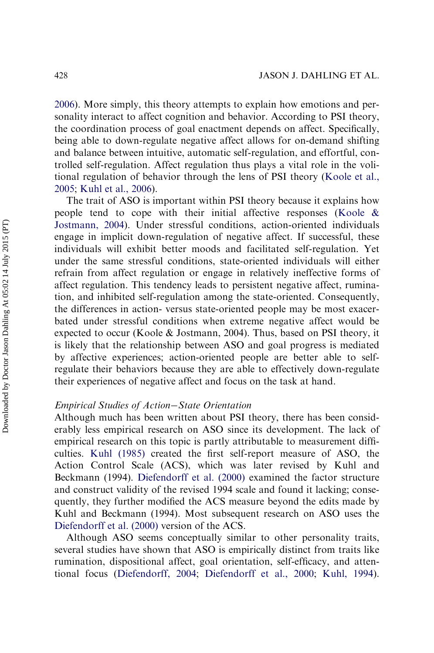[2006\)](#page-19-0). More simply, this theory attempts to explain how emotions and personality interact to affect cognition and behavior. According to PSI theory, the coordination process of goal enactment depends on affect. Specifically, being able to down-regulate negative affect allows for on-demand shifting and balance between intuitive, automatic self-regulation, and effortful, controlled self-regulation. Affect regulation thus plays a vital role in the volitional regulation of behavior through the lens of PSI theory ([Koole et al.,](#page-18-0) [2005;](#page-18-0) [Kuhl et al., 2006\)](#page-19-0).

The trait of ASO is important within PSI theory because it explains how people tend to cope with their initial affective responses ([Koole &](#page-18-0) [Jostmann, 2004](#page-18-0)). Under stressful conditions, action-oriented individuals engage in implicit down-regulation of negative affect. If successful, these individuals will exhibit better moods and facilitated self-regulation. Yet under the same stressful conditions, state-oriented individuals will either refrain from affect regulation or engage in relatively ineffective forms of affect regulation. This tendency leads to persistent negative affect, rumination, and inhibited self-regulation among the state-oriented. Consequently, the differences in action- versus state-oriented people may be most exacerbated under stressful conditions when extreme negative affect would be expected to occur (Koole & Jostmann, 2004). Thus, based on PSI theory, it is likely that the relationship between ASO and goal progress is mediated by affective experiences; action-oriented people are better able to selfregulate their behaviors because they are able to effectively down-regulate their experiences of negative affect and focus on the task at hand.

#### Empirical Studies of Action–State Orientation

Although much has been written about PSI theory, there has been considerably less empirical research on ASO since its development. The lack of empirical research on this topic is partly attributable to measurement difficulties. [Kuhl \(1985\)](#page-19-0) created the first self-report measure of ASO, the Action Control Scale (ACS), which was later revised by Kuhl and Beckmann (1994). [Diefendorff et al. \(2000\)](#page-18-0) examined the factor structure and construct validity of the revised 1994 scale and found it lacking; consequently, they further modified the ACS measure beyond the edits made by Kuhl and Beckmann (1994). Most subsequent research on ASO uses the [Diefendorff et al. \(2000\)](#page-18-0) version of the ACS.

Although ASO seems conceptually similar to other personality traits, several studies have shown that ASO is empirically distinct from traits like rumination, dispositional affect, goal orientation, self-efficacy, and attentional focus [\(Diefendorff, 2004;](#page-18-0) [Diefendorff et al., 2000;](#page-18-0) [Kuhl, 1994\)](#page-19-0).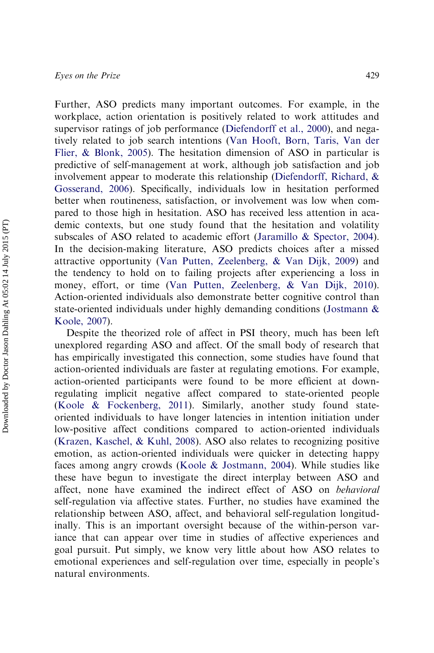Further, ASO predicts many important outcomes. For example, in the workplace, action orientation is positively related to work attitudes and supervisor ratings of job performance ([Diefendorff et al., 2000\)](#page-18-0), and negatively related to job search intentions ([Van Hooft, Born, Taris, Van der](#page-19-0) [Flier, & Blonk, 2005\)](#page-19-0). The hesitation dimension of ASO in particular is predictive of self-management at work, although job satisfaction and job involvement appear to moderate this relationship ([Diefendorff, Richard, &](#page-18-0) [Gosserand, 2006](#page-18-0)). Specifically, individuals low in hesitation performed better when routineness, satisfaction, or involvement was low when compared to those high in hesitation. ASO has received less attention in academic contexts, but one study found that the hesitation and volatility subscales of ASO related to academic effort ([Jaramillo & Spector, 2004\)](#page-18-0). In the decision-making literature, ASO predicts choices after a missed attractive opportunity ([Van Putten, Zeelenberg, & Van Dijk, 2009\)](#page-19-0) and the tendency to hold on to failing projects after experiencing a loss in money, effort, or time [\(Van Putten, Zeelenberg, & Van Dijk, 2010\)](#page-19-0). Action-oriented individuals also demonstrate better cognitive control than state-oriented individuals under highly demanding conditions ([Jostmann &](#page-18-0) [Koole, 2007](#page-18-0)).

Despite the theorized role of affect in PSI theory, much has been left unexplored regarding ASO and affect. Of the small body of research that has empirically investigated this connection, some studies have found that action-oriented individuals are faster at regulating emotions. For example, action-oriented participants were found to be more efficient at downregulating implicit negative affect compared to state-oriented people [\(Koole & Fockenberg, 2011](#page-18-0)). Similarly, another study found stateoriented individuals to have longer latencies in intention initiation under low-positive affect conditions compared to action-oriented individuals [\(Krazen, Kaschel, & Kuhl, 2008](#page-18-0)). ASO also relates to recognizing positive emotion, as action-oriented individuals were quicker in detecting happy faces among angry crowds ([Koole & Jostmann, 2004\)](#page-18-0). While studies like these have begun to investigate the direct interplay between ASO and affect, none have examined the indirect effect of ASO on behavioral self-regulation via affective states. Further, no studies have examined the relationship between ASO, affect, and behavioral self-regulation longitudinally. This is an important oversight because of the within-person variance that can appear over time in studies of affective experiences and goal pursuit. Put simply, we know very little about how ASO relates to emotional experiences and self-regulation over time, especially in people's natural environments.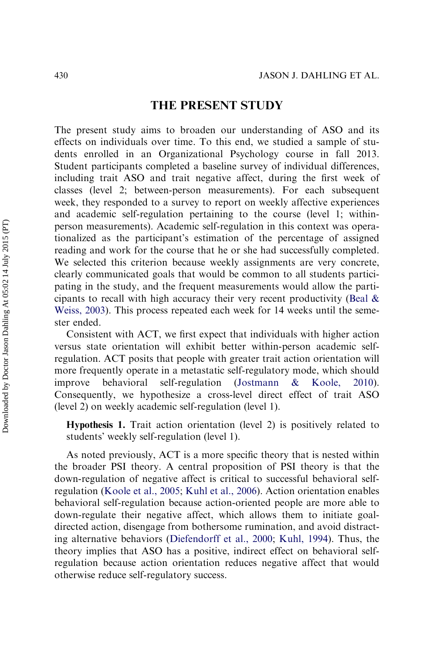## THE PRESENT STUDY

The present study aims to broaden our understanding of ASO and its effects on individuals over time. To this end, we studied a sample of students enrolled in an Organizational Psychology course in fall 2013. Student participants completed a baseline survey of individual differences, including trait ASO and trait negative affect, during the first week of classes (level 2; between-person measurements). For each subsequent week, they responded to a survey to report on weekly affective experiences and academic self-regulation pertaining to the course (level 1; withinperson measurements). Academic self-regulation in this context was operationalized as the participant's estimation of the percentage of assigned reading and work for the course that he or she had successfully completed. We selected this criterion because weekly assignments are very concrete, clearly communicated goals that would be common to all students participating in the study, and the frequent measurements would allow the participants to recall with high accuracy their very recent productivity ([Beal &](#page-18-0) [Weiss, 2003](#page-18-0)). This process repeated each week for 14 weeks until the semester ended.

Consistent with ACT, we first expect that individuals with higher action versus state orientation will exhibit better within-person academic selfregulation. ACT posits that people with greater trait action orientation will more frequently operate in a metastatic self-regulatory mode, which should improve behavioral self-regulation ([Jostmann & Koole, 2010\)](#page-18-0). Consequently, we hypothesize a cross-level direct effect of trait ASO (level 2) on weekly academic self-regulation (level 1).

Hypothesis 1. Trait action orientation (level 2) is positively related to students' weekly self-regulation (level 1).

As noted previously, ACT is a more specific theory that is nested within the broader PSI theory. A central proposition of PSI theory is that the down-regulation of negative affect is critical to successful behavioral selfregulation ([Koole et al., 2005;](#page-18-0) [Kuhl et al., 2006\)](#page-19-0). Action orientation enables behavioral self-regulation because action-oriented people are more able to down-regulate their negative affect, which allows them to initiate goaldirected action, disengage from bothersome rumination, and avoid distracting alternative behaviors [\(Diefendorff et al., 2000;](#page-18-0) [Kuhl, 1994\)](#page-19-0). Thus, the theory implies that ASO has a positive, indirect effect on behavioral selfregulation because action orientation reduces negative affect that would otherwise reduce self-regulatory success.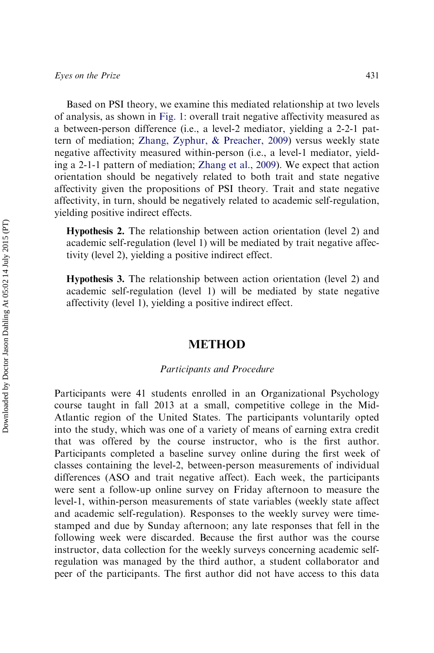Based on PSI theory, we examine this mediated relationship at two levels of analysis, as shown in [Fig. 1:](#page-3-0) overall trait negative affectivity measured as a between-person difference (i.e., a level-2 mediator, yielding a 2-2-1 pattern of mediation; [Zhang, Zyphur, & Preacher, 2009](#page-19-0)) versus weekly state negative affectivity measured within-person (i.e., a level-1 mediator, yielding a 2-1-1 pattern of mediation; [Zhang et al., 2009](#page-19-0)). We expect that action orientation should be negatively related to both trait and state negative affectivity given the propositions of PSI theory. Trait and state negative affectivity, in turn, should be negatively related to academic self-regulation, yielding positive indirect effects.

Hypothesis 2. The relationship between action orientation (level 2) and academic self-regulation (level 1) will be mediated by trait negative affectivity (level 2), yielding a positive indirect effect.

Hypothesis 3. The relationship between action orientation (level 2) and academic self-regulation (level 1) will be mediated by state negative affectivity (level 1), yielding a positive indirect effect.

## METHOD

#### Participants and Procedure

Participants were 41 students enrolled in an Organizational Psychology course taught in fall 2013 at a small, competitive college in the Mid-Atlantic region of the United States. The participants voluntarily opted into the study, which was one of a variety of means of earning extra credit that was offered by the course instructor, who is the first author. Participants completed a baseline survey online during the first week of classes containing the level-2, between-person measurements of individual differences (ASO and trait negative affect). Each week, the participants were sent a follow-up online survey on Friday afternoon to measure the level-1, within-person measurements of state variables (weekly state affect and academic self-regulation). Responses to the weekly survey were timestamped and due by Sunday afternoon; any late responses that fell in the following week were discarded. Because the first author was the course instructor, data collection for the weekly surveys concerning academic selfregulation was managed by the third author, a student collaborator and peer of the participants. The first author did not have access to this data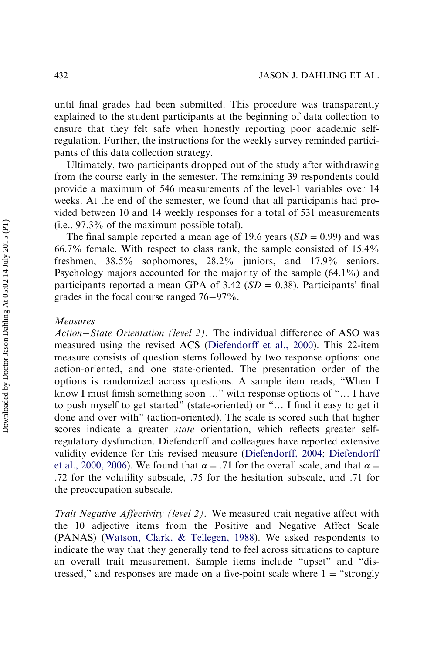until final grades had been submitted. This procedure was transparently explained to the student participants at the beginning of data collection to ensure that they felt safe when honestly reporting poor academic selfregulation. Further, the instructions for the weekly survey reminded participants of this data collection strategy.

Ultimately, two participants dropped out of the study after withdrawing from the course early in the semester. The remaining 39 respondents could provide a maximum of 546 measurements of the level-1 variables over 14 weeks. At the end of the semester, we found that all participants had provided between 10 and 14 weekly responses for a total of 531 measurements (i.e., 97.3% of the maximum possible total).

The final sample reported a mean age of 19.6 years  $(SD = 0.99)$  and was 66.7% female. With respect to class rank, the sample consisted of 15.4% freshmen, 38.5% sophomores, 28.2% juniors, and 17.9% seniors. Psychology majors accounted for the majority of the sample (64.1%) and participants reported a mean GPA of 3.42 ( $SD = 0.38$ ). Participants' final grades in the focal course ranged  $76-97\%$ .

#### Measures

Action–State Orientation (level 2). The individual difference of ASO was measured using the revised ACS ([Diefendorff et al., 2000](#page-18-0)). This 22-item measure consists of question stems followed by two response options: one action-oriented, and one state-oriented. The presentation order of the options is randomized across questions. A sample item reads, "When I know I must finish something soon …" with response options of "… I have to push myself to get started" (state-oriented) or "… I find it easy to get it done and over with" (action-oriented). The scale is scored such that higher scores indicate a greater *state* orientation, which reflects greater selfregulatory dysfunction. Diefendorff and colleagues have reported extensive validity evidence for this revised measure [\(Diefendorff, 2004;](#page-18-0) Diefendorff et al., 2000, 2006). We found that  $\alpha = .71$  for the overall scale, and that  $\alpha =$ .72 for the volatility subscale, .75 for the hesitation subscale, and .71 for the preoccupation subscale.

Trait Negative Affectivity (level 2). We measured trait negative affect with the 10 adjective items from the Positive and Negative Affect Scale (PANAS) [\(Watson, Clark, & Tellegen, 1988\)](#page-19-0). We asked respondents to indicate the way that they generally tend to feel across situations to capture an overall trait measurement. Sample items include "upset" and "distressed," and responses are made on a five-point scale where  $1 =$  "strongly"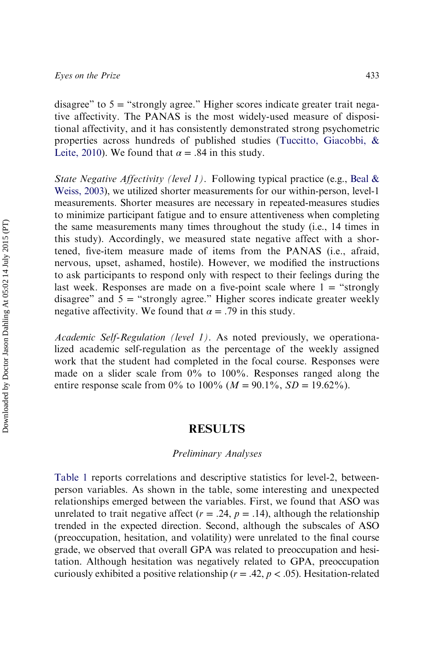disagree" to  $5 =$  "strongly agree." Higher scores indicate greater trait negative affectivity. The PANAS is the most widely-used measure of dispositional affectivity, and it has consistently demonstrated strong psychometric properties across hundreds of published studies ([Tuccitto, Giacobbi, &](#page-19-0) [Leite, 2010\)](#page-19-0). We found that  $\alpha = .84$  in this study.

State Negative Affectivity (level 1). Following typical practice (e.g., [Beal &](#page-18-0) [Weiss, 2003](#page-18-0)), we utilized shorter measurements for our within-person, level-1 measurements. Shorter measures are necessary in repeated-measures studies to minimize participant fatigue and to ensure attentiveness when completing the same measurements many times throughout the study (i.e., 14 times in this study). Accordingly, we measured state negative affect with a shortened, five-item measure made of items from the PANAS (i.e., afraid, nervous, upset, ashamed, hostile). However, we modified the instructions to ask participants to respond only with respect to their feelings during the last week. Responses are made on a five-point scale where  $1 =$  "strongly disagree" and  $5 =$  "strongly agree." Higher scores indicate greater weekly negative affectivity. We found that  $\alpha = .79$  in this study.

Academic Self-Regulation (level 1). As noted previously, we operationalized academic self-regulation as the percentage of the weekly assigned work that the student had completed in the focal course. Responses were made on a slider scale from  $0\%$  to  $100\%$ . Responses ranged along the entire response scale from 0% to 100% ( $M = 90.1\%$ ,  $SD = 19.62\%$ ).

### RESULTS

#### Preliminary Analyses

[Table 1](#page-12-0) reports correlations and descriptive statistics for level-2, betweenperson variables. As shown in the table, some interesting and unexpected relationships emerged between the variables. First, we found that ASO was unrelated to trait negative affect  $(r = .24, p = .14)$ , although the relationship trended in the expected direction. Second, although the subscales of ASO (preoccupation, hesitation, and volatility) were unrelated to the final course grade, we observed that overall GPA was related to preoccupation and hesitation. Although hesitation was negatively related to GPA, preoccupation curiously exhibited a positive relationship ( $r = .42$ ,  $p < .05$ ). Hesitation-related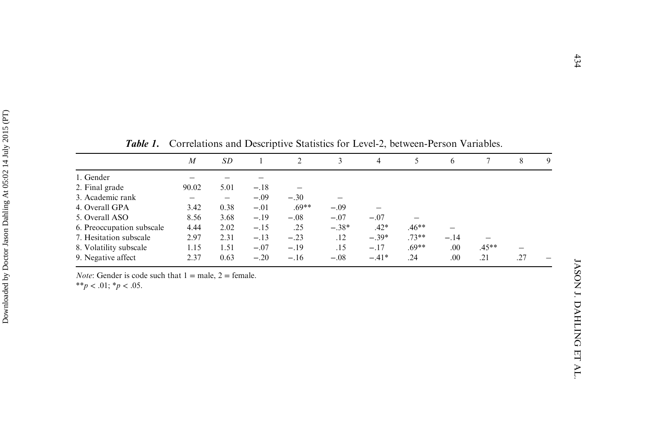<span id="page-12-0"></span>

|                           | M                              | SD                             |        | 2       |         | 4       |         | 6      |         | 8   | 9 |
|---------------------------|--------------------------------|--------------------------------|--------|---------|---------|---------|---------|--------|---------|-----|---|
| 1. Gender                 |                                |                                |        |         |         |         |         |        |         |     |   |
| 2. Final grade            | 90.02                          | 5.01                           | $-.18$ |         |         |         |         |        |         |     |   |
| 3. Academic rank          | $\qquad \qquad \longleftarrow$ | $\qquad \qquad \longleftarrow$ | $-.09$ | $-.30$  |         |         |         |        |         |     |   |
| 4. Overall GPA            | 3.42                           | 0.38                           | $-.01$ | $.69**$ | $-.09$  |         |         |        |         |     |   |
| 5. Overall ASO            | 8.56                           | 3.68                           | $-.19$ | $-.08$  | $-.07$  | $-.07$  |         |        |         |     |   |
| 6. Preoccupation subscale | 4.44                           | 2.02                           | $-.15$ | .25     | $-.38*$ | $.42*$  | $.46**$ |        |         |     |   |
| 7. Hesitation subscale    | 2.97                           | 2.31                           | $-.13$ | $-.23$  | .12     | $-.39*$ | $.73**$ | $-.14$ |         |     |   |
| 8. Volatility subscale    | 1.15                           | 1.51                           | $-.07$ | $-.19$  | .15     | $-.17$  | $.69**$ | .00    | $.45**$ |     |   |
| 9. Negative affect        | 2.37                           | 0.63                           | $-.20$ | $-.16$  | $-.08$  | $-.41*$ | .24     | .00    | .21     | .27 |   |

**Table 1.** Correlations and Descriptive Statistics for Level-2, between-Person Variables.

*Note:* Gender is code such that  $1 =$  male,  $2 =$  female.

\*\*p < .01; \*p < .05.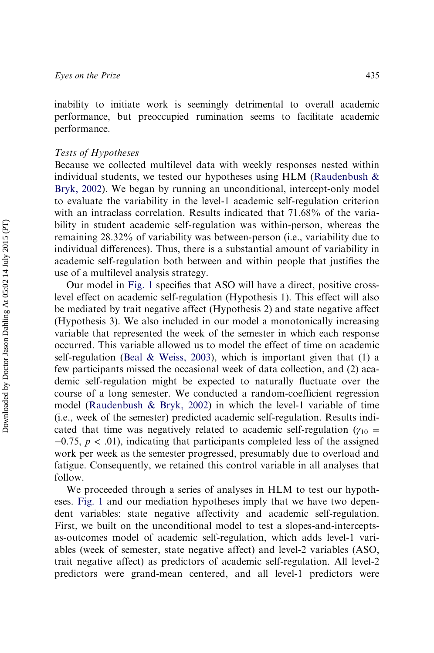inability to initiate work is seemingly detrimental to overall academic performance, but preoccupied rumination seems to facilitate academic performance.

#### Tests of Hypotheses

Because we collected multilevel data with weekly responses nested within individual students, we tested our hypotheses using HLM ([Raudenbush &](#page-19-0) [Bryk, 2002](#page-19-0)). We began by running an unconditional, intercept-only model to evaluate the variability in the level-1 academic self-regulation criterion with an intraclass correlation. Results indicated that 71.68% of the variability in student academic self-regulation was within-person, whereas the remaining 28.32% of variability was between-person (i.e., variability due to individual differences). Thus, there is a substantial amount of variability in academic self-regulation both between and within people that justifies the use of a multilevel analysis strategy.

Our model in [Fig. 1](#page-3-0) specifies that ASO will have a direct, positive crosslevel effect on academic self-regulation (Hypothesis 1). This effect will also be mediated by trait negative affect (Hypothesis 2) and state negative affect (Hypothesis 3). We also included in our model a monotonically increasing variable that represented the week of the semester in which each response occurred. This variable allowed us to model the effect of time on academic self-regulation ([Beal & Weiss, 2003](#page-18-0)), which is important given that  $(1)$  a few participants missed the occasional week of data collection, and (2) academic self-regulation might be expected to naturally fluctuate over the course of a long semester. We conducted a random-coefficient regression model [\(Raudenbush & Bryk, 2002\)](#page-19-0) in which the level-1 variable of time (i.e., week of the semester) predicted academic self-regulation. Results indicated that time was negatively related to academic self-regulation ( $\gamma_{10}$  =  $-0.75$ ,  $p < .01$ ), indicating that participants completed less of the assigned work per week as the semester progressed, presumably due to overload and fatigue. Consequently, we retained this control variable in all analyses that follow.

We proceeded through a series of analyses in HLM to test our hypotheses. [Fig. 1](#page-3-0) and our mediation hypotheses imply that we have two dependent variables: state negative affectivity and academic self-regulation. First, we built on the unconditional model to test a slopes-and-interceptsas-outcomes model of academic self-regulation, which adds level-1 variables (week of semester, state negative affect) and level-2 variables (ASO, trait negative affect) as predictors of academic self-regulation. All level-2 predictors were grand-mean centered, and all level-1 predictors were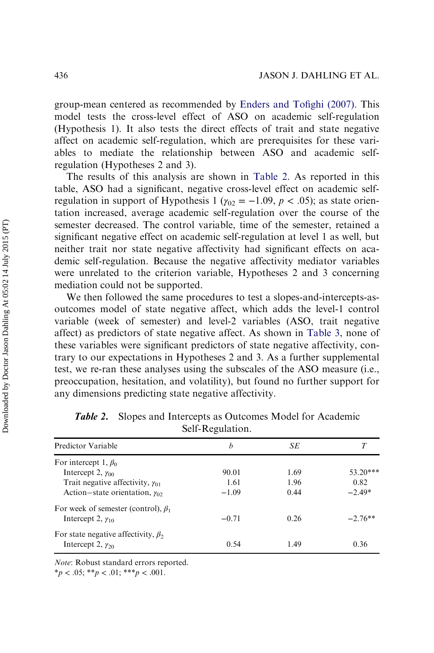group-mean centered as recommended by [Enders and Tofighi \(2007\).](#page-18-0) This model tests the cross-level effect of ASO on academic self-regulation (Hypothesis 1). It also tests the direct effects of trait and state negative affect on academic self-regulation, which are prerequisites for these variables to mediate the relationship between ASO and academic selfregulation (Hypotheses 2 and 3).

The results of this analysis are shown in Table 2. As reported in this table, ASO had a significant, negative cross-level effect on academic selfregulation in support of Hypothesis 1 ( $\gamma_{02} = -1.09$ ,  $p < .05$ ); as state orientation increased, average academic self-regulation over the course of the semester decreased. The control variable, time of the semester, retained a significant negative effect on academic self-regulation at level 1 as well, but neither trait nor state negative affectivity had significant effects on academic self-regulation. Because the negative affectivity mediator variables were unrelated to the criterion variable, Hypotheses 2 and 3 concerning mediation could not be supported.

We then followed the same procedures to test a slopes-and-intercepts-asoutcomes model of state negative affect, which adds the level-1 control variable (week of semester) and level-2 variables (ASO, trait negative affect) as predictors of state negative affect. As shown in [Table 3](#page-15-0), none of these variables were significant predictors of state negative affectivity, contrary to our expectations in Hypotheses 2 and 3. As a further supplemental test, we re-ran these analyses using the subscales of the ASO measure (i.e., preoccupation, hesitation, and volatility), but found no further support for any dimensions predicting state negative affectivity.

| Predictor Variable                        | b       | SE   |           |  |
|-------------------------------------------|---------|------|-----------|--|
| For intercept 1, $\beta_0$                |         |      |           |  |
| Intercept 2, $\gamma_{00}$                | 90.01   | 1.69 | 53.20***  |  |
| Trait negative affectivity, $\gamma_{01}$ | 1.61    | 1.96 | 0.82      |  |
| Action-state orientation, $\gamma_{02}$   | $-1.09$ | 0.44 | $-2.49*$  |  |
| For week of semester (control), $\beta_1$ |         |      |           |  |
| Intercept 2, $\gamma_{10}$                | $-0.71$ | 0.26 | $-2.76**$ |  |
| For state negative affectivity, $\beta_2$ |         |      |           |  |
| Intercept 2, $\gamma_{20}$                | 0.54    | 1.49 | 0.36      |  |

Table 2. Slopes and Intercepts as Outcomes Model for Academic Self-Regulation.

Note: Robust standard errors reported.

 $*_{p} < .05; **_{p} < .01; **_{p} < .001$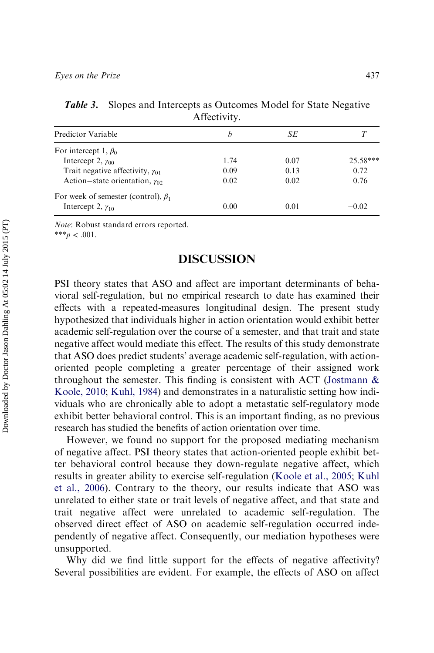| Predictor Variable                        | b    | SE   |          |  |  |  |
|-------------------------------------------|------|------|----------|--|--|--|
| For intercept 1, $\beta_0$                |      |      |          |  |  |  |
| Intercept 2, $\gamma_{00}$                | 1.74 | 0.07 | 25.58*** |  |  |  |
| Trait negative affectivity, $\gamma_{01}$ | 0.09 | 0.13 | 0.72     |  |  |  |
| Action-state orientation, $\gamma_{02}$   | 0.02 | 0.02 | 0.76     |  |  |  |
| For week of semester (control), $\beta_1$ |      |      |          |  |  |  |
| Intercept 2, $\gamma_{10}$                | 0.00 | 0.01 | $-0.02$  |  |  |  |

<span id="page-15-0"></span>**Table 3.** Slopes and Intercepts as Outcomes Model for State Negative Affectivity.

Note: Robust standard errors reported.

\*\*\* $p < .001$ .

# DISCUSSION

PSI theory states that ASO and affect are important determinants of behavioral self-regulation, but no empirical research to date has examined their effects with a repeated-measures longitudinal design. The present study hypothesized that individuals higher in action orientation would exhibit better academic self-regulation over the course of a semester, and that trait and state negative affect would mediate this effect. The results of this study demonstrate that ASO does predict students' average academic self-regulation, with actionoriented people completing a greater percentage of their assigned work throughout the semester. This finding is consistent with ACT ([Jostmann &](#page-18-0) [Koole, 2010;](#page-18-0) [Kuhl, 1984](#page-18-0)) and demonstrates in a naturalistic setting how individuals who are chronically able to adopt a metastatic self-regulatory mode exhibit better behavioral control. This is an important finding, as no previous research has studied the benefits of action orientation over time.

However, we found no support for the proposed mediating mechanism of negative affect. PSI theory states that action-oriented people exhibit better behavioral control because they down-regulate negative affect, which results in greater ability to exercise self-regulation [\(Koole et al., 2005](#page-18-0); [Kuhl](#page-19-0) [et al., 2006\)](#page-19-0). Contrary to the theory, our results indicate that ASO was unrelated to either state or trait levels of negative affect, and that state and trait negative affect were unrelated to academic self-regulation. The observed direct effect of ASO on academic self-regulation occurred independently of negative affect. Consequently, our mediation hypotheses were unsupported.

Why did we find little support for the effects of negative affectivity? Several possibilities are evident. For example, the effects of ASO on affect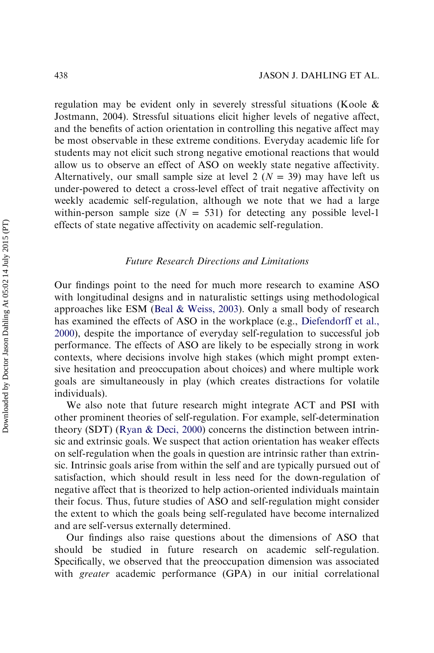regulation may be evident only in severely stressful situations (Koole & Jostmann, 2004). Stressful situations elicit higher levels of negative affect, and the benefits of action orientation in controlling this negative affect may be most observable in these extreme conditions. Everyday academic life for students may not elicit such strong negative emotional reactions that would allow us to observe an effect of ASO on weekly state negative affectivity. Alternatively, our small sample size at level 2 ( $N = 39$ ) may have left us under-powered to detect a cross-level effect of trait negative affectivity on weekly academic self-regulation, although we note that we had a large within-person sample size  $(N = 531)$  for detecting any possible level-1 effects of state negative affectivity on academic self-regulation.

#### Future Research Directions and Limitations

Our findings point to the need for much more research to examine ASO with longitudinal designs and in naturalistic settings using methodological approaches like ESM [\(Beal & Weiss, 2003\)](#page-18-0). Only a small body of research has examined the effects of ASO in the workplace (e.g., [Diefendorff et al.,](#page-18-0) [2000\)](#page-18-0), despite the importance of everyday self-regulation to successful job performance. The effects of ASO are likely to be especially strong in work contexts, where decisions involve high stakes (which might prompt extensive hesitation and preoccupation about choices) and where multiple work goals are simultaneously in play (which creates distractions for volatile individuals).

We also note that future research might integrate ACT and PSI with other prominent theories of self-regulation. For example, self-determination theory (SDT) [\(Ryan & Deci, 2000\)](#page-19-0) concerns the distinction between intrinsic and extrinsic goals. We suspect that action orientation has weaker effects on self-regulation when the goals in question are intrinsic rather than extrinsic. Intrinsic goals arise from within the self and are typically pursued out of satisfaction, which should result in less need for the down-regulation of negative affect that is theorized to help action-oriented individuals maintain their focus. Thus, future studies of ASO and self-regulation might consider the extent to which the goals being self-regulated have become internalized and are self-versus externally determined.

Our findings also raise questions about the dimensions of ASO that should be studied in future research on academic self-regulation. Specifically, we observed that the preoccupation dimension was associated with greater academic performance (GPA) in our initial correlational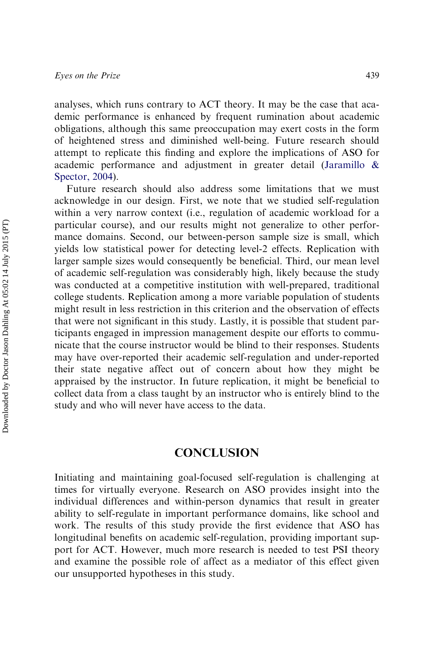analyses, which runs contrary to ACT theory. It may be the case that academic performance is enhanced by frequent rumination about academic obligations, although this same preoccupation may exert costs in the form of heightened stress and diminished well-being. Future research should attempt to replicate this finding and explore the implications of ASO for academic performance and adjustment in greater detail [\(Jaramillo &](#page-18-0) [Spector, 2004\)](#page-18-0).

Future research should also address some limitations that we must acknowledge in our design. First, we note that we studied self-regulation within a very narrow context (i.e., regulation of academic workload for a particular course), and our results might not generalize to other performance domains. Second, our between-person sample size is small, which yields low statistical power for detecting level-2 effects. Replication with larger sample sizes would consequently be beneficial. Third, our mean level of academic self-regulation was considerably high, likely because the study was conducted at a competitive institution with well-prepared, traditional college students. Replication among a more variable population of students might result in less restriction in this criterion and the observation of effects that were not significant in this study. Lastly, it is possible that student participants engaged in impression management despite our efforts to communicate that the course instructor would be blind to their responses. Students may have over-reported their academic self-regulation and under-reported their state negative affect out of concern about how they might be appraised by the instructor. In future replication, it might be beneficial to collect data from a class taught by an instructor who is entirely blind to the study and who will never have access to the data.

## CONCLUSION

Initiating and maintaining goal-focused self-regulation is challenging at times for virtually everyone. Research on ASO provides insight into the individual differences and within-person dynamics that result in greater ability to self-regulate in important performance domains, like school and work. The results of this study provide the first evidence that ASO has longitudinal benefits on academic self-regulation, providing important support for ACT. However, much more research is needed to test PSI theory and examine the possible role of affect as a mediator of this effect given our unsupported hypotheses in this study.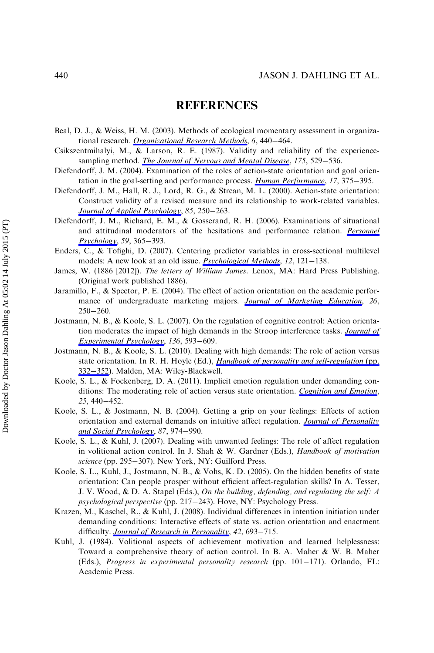# REFERENCES

- <span id="page-18-0"></span>Beal, D. J., & Weiss, H. M. (2003). Methods of ecological momentary assessment in organiza-tional research. [Organizational Research Methods](http://www.emeraldinsight.com/action/showLinks?crossref=10.1177%2F1094428103257361), 6, 440-464.
- Csikszentmihalyi, M., & Larson, R. E. (1987). Validity and reliability of the experience-sampling method. [The Journal of Nervous and Mental Disease](http://www.emeraldinsight.com/action/showLinks?crossref=10.1097%2F00005053-198709000-00004), 175, 529-536.
- Diefendorff, J. M. (2004). Examination of the roles of action-state orientation and goal orientation in the goal-setting and performance process. *[Human Performance](http://www.emeraldinsight.com/action/showLinks?crossref=10.1207%2Fs15327043hup1704_2)*,  $17$ ,  $375-395$ .
- Diefendorff, J. M., Hall, R. J., Lord, R. G., & Strean, M. L. (2000). Action-state orientation: Construct validity of a revised measure and its relationship to work-related variables. [Journal of Applied Psychology](http://www.emeraldinsight.com/action/showLinks?crossref=10.1037%2F0021-9010.85.2.250), 85, 250–263.
- Diefendorff, J. M., Richard, E. M., & Gosserand, R. H. (2006). Examinations of situational and attitudinal moderators of the hesitations and performance relation. *[Personnel](http://www.emeraldinsight.com/action/showLinks?crossref=10.1111%2Fj.1744-6570.2006.00040.x)*  $Psychology, 59, 365-393.$  $Psychology, 59, 365-393.$
- Enders, C., & Tofighi, D. (2007). Centering predictor variables in cross-sectional multilevel models: A new look at an old issue. *[Psychological Methods](http://www.emeraldinsight.com/action/showLinks?crossref=10.1037%2F1082-989X.12.2.121)*, 12, 121-138.
- James, W. (1886 [2012]). The letters of William James. Lenox, MA: Hard Press Publishing. (Original work published 1886).
- Jaramillo, F., & Spector, P. E. (2004). The effect of action orientation on the academic perfor-mance of undergraduate marketing majors. [Journal of Marketing Education](http://www.emeraldinsight.com/action/showLinks?crossref=10.1177%2F0273475304268780), 26,  $250 - 260.$
- Jostmann, N. B., & Koole, S. L. (2007). On the regulation of cognitive control: Action orienta-tion moderates the impact of high demands in the Stroop interference tasks. [Journal of](http://www.emeraldinsight.com/action/showLinks?crossref=10.1037%2F0096-3445.136.4.593) [Experimental Psychology](http://www.emeraldinsight.com/action/showLinks?crossref=10.1037%2F0096-3445.136.4.593), 136, 593-609.
- Jostmann, N. B., & Koole, S. L. (2010). Dealing with high demands: The role of action versus state orientation. In R. H. Hoyle (Ed.), *[Handbook of personality and self-regulation](http://www.emeraldinsight.com/action/showLinks?crossref=10.1002%2F9781444318111.ch15)* (pp. 332-[352](http://www.emeraldinsight.com/action/showLinks?crossref=10.1002%2F9781444318111.ch15)). Malden, MA: Wiley-Blackwell.
- Koole, S. L., & Fockenberg, D. A. (2011). Implicit emotion regulation under demanding conditions: The moderating role of action versus state orientation. [Cognition and Emotion](http://www.emeraldinsight.com/action/showLinks?crossref=10.1080%2F02699931.2010.544891),  $25,440 - 452.$
- Koole, S. L., & Jostmann, N. B. (2004). Getting a grip on your feelings: Effects of action orientation and external demands on intuitive affect regulation. [Journal of Personality](http://www.emeraldinsight.com/action/showLinks?crossref=10.1037%2F0022-3514.87.6.974) [and Social Psychology](http://www.emeraldinsight.com/action/showLinks?crossref=10.1037%2F0022-3514.87.6.974), 87, 974-990.
- Koole, S. L., & Kuhl, J. (2007). Dealing with unwanted feelings: The role of affect regulation in volitional action control. In J. Shah & W. Gardner (Eds.), Handbook of motivation science (pp. 295-307). New York, NY: Guilford Press.
- Koole, S. L., Kuhl, J., Jostmann, N. B., & Vohs, K. D. (2005). On the hidden benefits of state orientation: Can people prosper without efficient affect-regulation skills? In A. Tesser, J. V. Wood, & D. A. Stapel (Eds.), On the building, defending, and regulating the self: A psychological perspective (pp. 217-243). Hove, NY: Psychology Press.
- Krazen, M., Kaschel, R., & Kuhl, J. (2008). Individual differences in intention initiation under demanding conditions: Interactive effects of state vs. action orientation and enactment difficulty. [Journal of Research in Personality](http://www.emeraldinsight.com/action/showLinks?crossref=10.1016%2Fj.jrp.2007.09.005), 42, 693-715.
- Kuhl, J. (1984). Volitional aspects of achievement motivation and learned helplessness: Toward a comprehensive theory of action control. In B. A. Maher & W. B. Maher (Eds.), *Progress in experimental personality research* (pp.  $101-171$ ). Orlando, FL: Academic Press.